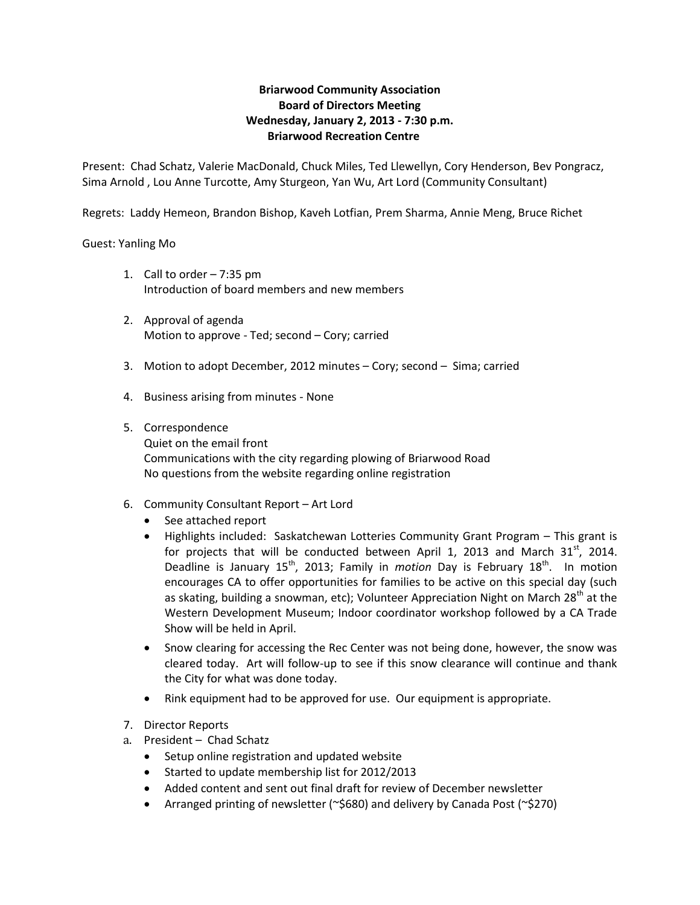# **Briarwood Community Association Board of Directors Meeting Wednesday, January 2, 2013 - 7:30 p.m. Briarwood Recreation Centre**

Present: Chad Schatz, Valerie MacDonald, Chuck Miles, Ted Llewellyn, Cory Henderson, Bev Pongracz, Sima Arnold , Lou Anne Turcotte, Amy Sturgeon, Yan Wu, Art Lord (Community Consultant)

Regrets: Laddy Hemeon, Brandon Bishop, Kaveh Lotfian, Prem Sharma, Annie Meng, Bruce Richet

#### Guest: Yanling Mo

- 1. Call to order 7:35 pm Introduction of board members and new members
- 2. Approval of agenda Motion to approve - Ted; second – Cory; carried
- 3. Motion to adopt December, 2012 minutes Cory; second Sima; carried
- 4. Business arising from minutes None

#### 5. Correspondence

Quiet on the email front Communications with the city regarding plowing of Briarwood Road No questions from the website regarding online registration

- 6. Community Consultant Report Art Lord
	- See attached report
	- Highlights included: Saskatchewan Lotteries Community Grant Program This grant is for projects that will be conducted between April 1, 2013 and March  $31<sup>st</sup>$ , 2014. Deadline is January 15<sup>th</sup>, 2013; Family in *motion* Day is February 18<sup>th</sup>. In motion encourages CA to offer opportunities for families to be active on this special day (such as skating, building a snowman, etc); Volunteer Appreciation Night on March 28<sup>th</sup> at the Western Development Museum; Indoor coordinator workshop followed by a CA Trade Show will be held in April.
	- Snow clearing for accessing the Rec Center was not being done, however, the snow was cleared today. Art will follow-up to see if this snow clearance will continue and thank the City for what was done today.
	- Rink equipment had to be approved for use. Our equipment is appropriate.
- 7. Director Reports
- a. President Chad Schatz
	- Setup online registration and updated website
	- Started to update membership list for 2012/2013
	- Added content and sent out final draft for review of December newsletter
	- Arranged printing of newsletter (~\$680) and delivery by Canada Post (~\$270)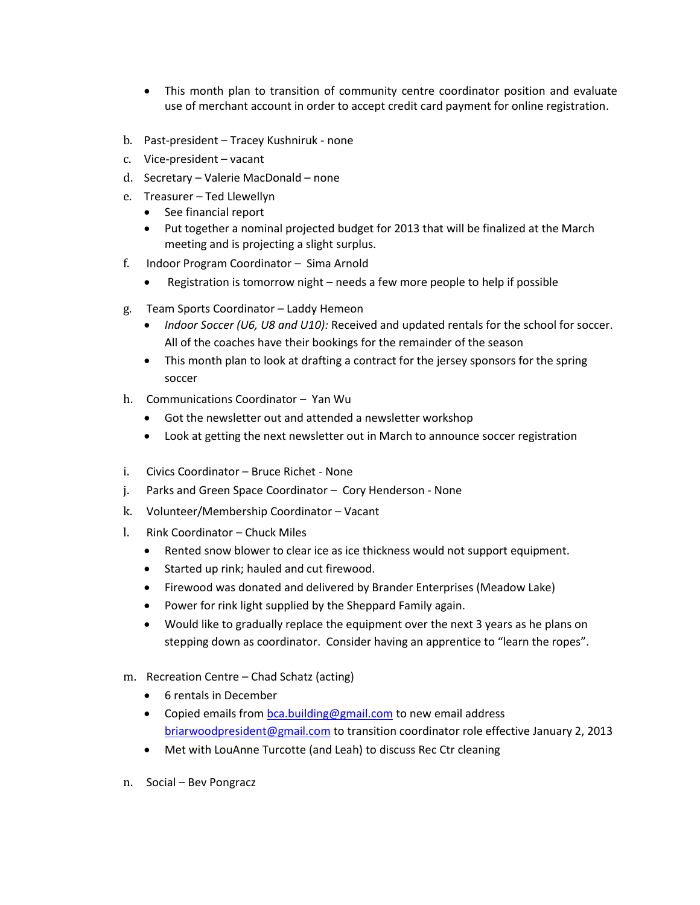- This month plan to transition of community centre coordinator position and evaluate use of merchant account in order to accept credit card payment for online registration.
- b. Past-president Tracey Kushniruk none
- c. Vice-president vacant
- d. Secretary Valerie MacDonald none
- e. Treasurer Ted Llewellyn
	- See financial report
	- Put together a nominal projected budget for 2013 that will be finalized at the March meeting and is projecting a slight surplus.
- f. Indoor Program Coordinator Sima Arnold
	- Registration is tomorrow night needs a few more people to help if possible
- g. Team Sports Coordinator Laddy Hemeon
	- *Indoor Soccer (U6, U8 and U10):* Received and updated rentals for the school for soccer. All of the coaches have their bookings for the remainder of the season
	- This month plan to look at drafting a contract for the jersey sponsors for the spring soccer
- h. Communications Coordinator Yan Wu
	- Got the newsletter out and attended a newsletter workshop
	- Look at getting the next newsletter out in March to announce soccer registration
- i. Civics Coordinator Bruce Richet None
- j. Parks and Green Space Coordinator Cory Henderson None
- k. Volunteer/Membership Coordinator Vacant
- l. Rink Coordinator Chuck Miles
	- Rented snow blower to clear ice as ice thickness would not support equipment.
	- Started up rink; hauled and cut firewood.
	- Firewood was donated and delivered by Brander Enterprises (Meadow Lake)
	- Power for rink light supplied by the Sheppard Family again.
	- Would like to gradually replace the equipment over the next 3 years as he plans on stepping down as coordinator. Consider having an apprentice to "learn the ropes".
- m. Recreation Centre Chad Schatz (acting)
	- 6 rentals in December
	- Copied emails from [bca.building@gmail.com](mailto:bca.building@gmail.com) to new email address [briarwoodpresident@gmail.com](mailto:briarwoodpresident@gmail.com) to transition coordinator role effective January 2, 2013
	- Met with LouAnne Turcotte (and Leah) to discuss Rec Ctr cleaning
- n. Social Bev Pongracz